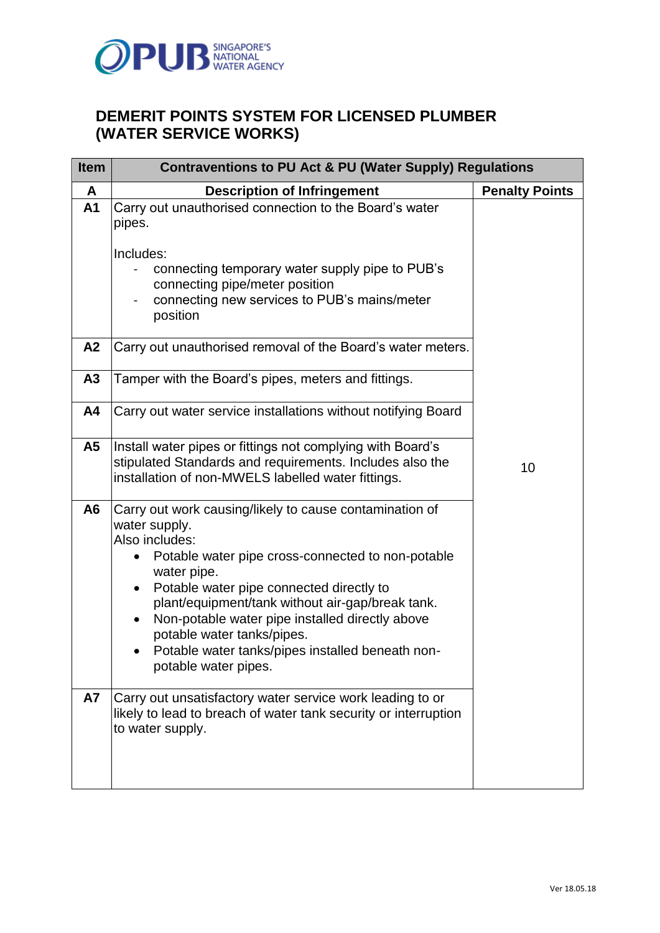

## **DEMERIT POINTS SYSTEM FOR LICENSED PLUMBER (WATER SERVICE WORKS)**

| <b>Item</b>                 | <b>Contraventions to PU Act &amp; PU (Water Supply) Regulations</b>                                                                                                                                                                                                                                                                                                                                                                                                                                                |                       |  |
|-----------------------------|--------------------------------------------------------------------------------------------------------------------------------------------------------------------------------------------------------------------------------------------------------------------------------------------------------------------------------------------------------------------------------------------------------------------------------------------------------------------------------------------------------------------|-----------------------|--|
| A                           | <b>Description of Infringement</b>                                                                                                                                                                                                                                                                                                                                                                                                                                                                                 | <b>Penalty Points</b> |  |
| A <sub>1</sub>              | Carry out unauthorised connection to the Board's water<br>pipes.<br>Includes:<br>connecting temporary water supply pipe to PUB's<br>connecting pipe/meter position<br>connecting new services to PUB's mains/meter<br>position                                                                                                                                                                                                                                                                                     |                       |  |
| A2                          | Carry out unauthorised removal of the Board's water meters.                                                                                                                                                                                                                                                                                                                                                                                                                                                        |                       |  |
| A <sub>3</sub>              | Tamper with the Board's pipes, meters and fittings.                                                                                                                                                                                                                                                                                                                                                                                                                                                                |                       |  |
| A4                          | Carry out water service installations without notifying Board                                                                                                                                                                                                                                                                                                                                                                                                                                                      |                       |  |
| A5                          | Install water pipes or fittings not complying with Board's<br>stipulated Standards and requirements. Includes also the<br>installation of non-MWELS labelled water fittings.                                                                                                                                                                                                                                                                                                                                       | 10                    |  |
| A <sub>6</sub><br><b>A7</b> | Carry out work causing/likely to cause contamination of<br>water supply.<br>Also includes:<br>Potable water pipe cross-connected to non-potable<br>water pipe.<br>Potable water pipe connected directly to<br>$\bullet$<br>plant/equipment/tank without air-gap/break tank.<br>Non-potable water pipe installed directly above<br>$\bullet$<br>potable water tanks/pipes.<br>Potable water tanks/pipes installed beneath non-<br>potable water pipes.<br>Carry out unsatisfactory water service work leading to or |                       |  |
|                             | likely to lead to breach of water tank security or interruption<br>to water supply.                                                                                                                                                                                                                                                                                                                                                                                                                                |                       |  |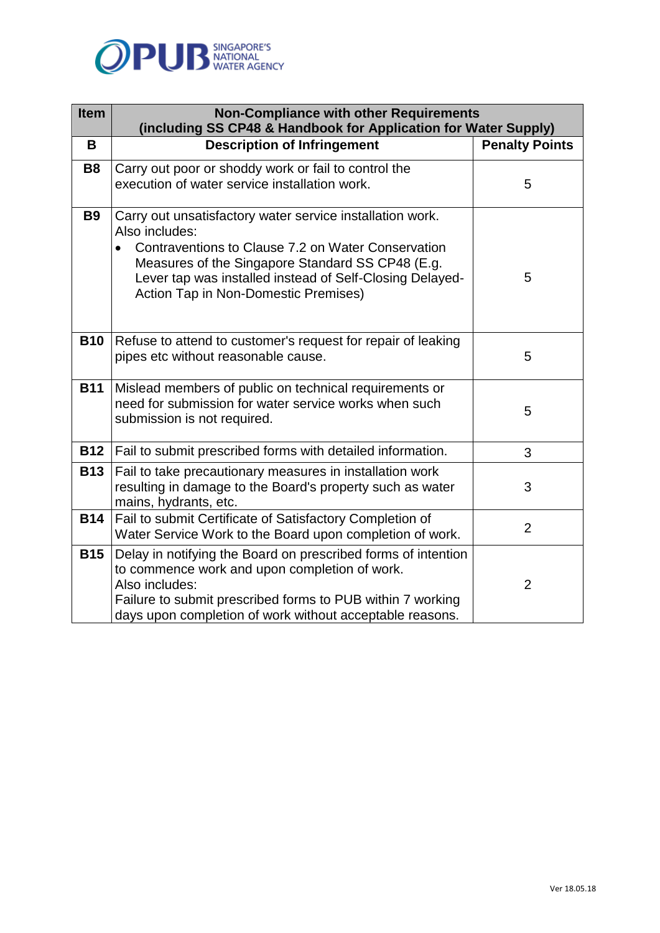

| <b>Item</b> | <b>Non-Compliance with other Requirements</b><br>(including SS CP48 & Handbook for Application for Water Supply)                                                                                                                                                                          |                       |
|-------------|-------------------------------------------------------------------------------------------------------------------------------------------------------------------------------------------------------------------------------------------------------------------------------------------|-----------------------|
| B           | <b>Description of Infringement</b>                                                                                                                                                                                                                                                        | <b>Penalty Points</b> |
| <b>B8</b>   | Carry out poor or shoddy work or fail to control the<br>execution of water service installation work.                                                                                                                                                                                     | 5                     |
| <b>B9</b>   | Carry out unsatisfactory water service installation work.<br>Also includes:<br>Contraventions to Clause 7.2 on Water Conservation<br>Measures of the Singapore Standard SS CP48 (E.g.<br>Lever tap was installed instead of Self-Closing Delayed-<br>Action Tap in Non-Domestic Premises) | 5                     |
| <b>B10</b>  | Refuse to attend to customer's request for repair of leaking<br>pipes etc without reasonable cause.                                                                                                                                                                                       | 5                     |
| <b>B11</b>  | Mislead members of public on technical requirements or<br>need for submission for water service works when such<br>submission is not required.                                                                                                                                            | 5                     |
| <b>B12</b>  | Fail to submit prescribed forms with detailed information.                                                                                                                                                                                                                                | 3                     |
| <b>B13</b>  | Fail to take precautionary measures in installation work<br>resulting in damage to the Board's property such as water<br>mains, hydrants, etc.                                                                                                                                            | 3                     |
| <b>B14</b>  | Fail to submit Certificate of Satisfactory Completion of<br>Water Service Work to the Board upon completion of work.                                                                                                                                                                      | $\overline{2}$        |
| <b>B15</b>  | Delay in notifying the Board on prescribed forms of intention<br>to commence work and upon completion of work.<br>Also includes:<br>Failure to submit prescribed forms to PUB within 7 working<br>days upon completion of work without acceptable reasons.                                | $\overline{2}$        |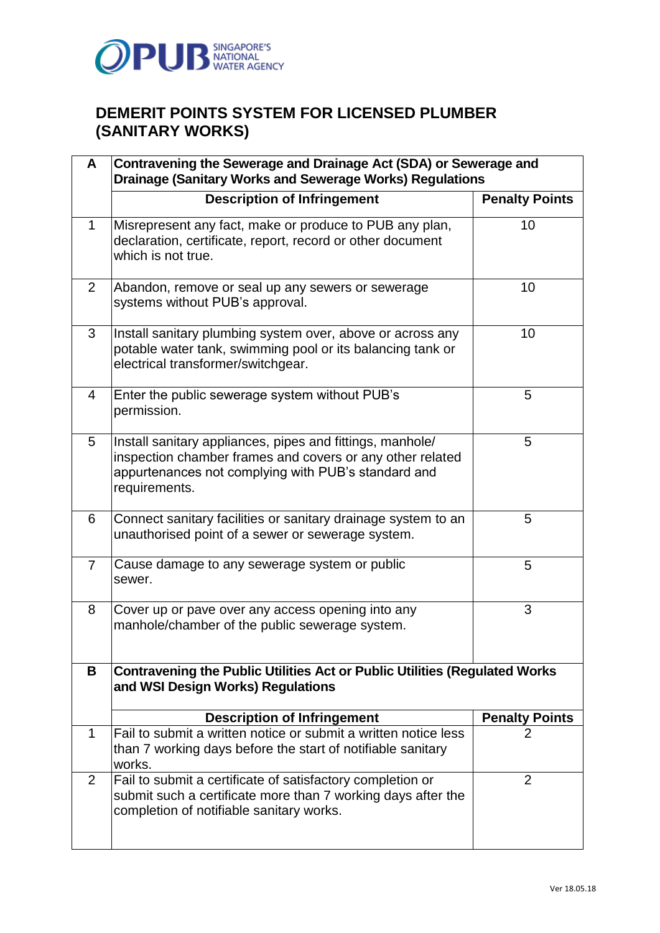

## **DEMERIT POINTS SYSTEM FOR LICENSED PLUMBER (SANITARY WORKS)**

| A              | Contravening the Sewerage and Drainage Act (SDA) or Sewerage and<br><b>Drainage (Sanitary Works and Sewerage Works) Regulations</b>                                                            |                       |  |  |
|----------------|------------------------------------------------------------------------------------------------------------------------------------------------------------------------------------------------|-----------------------|--|--|
|                | <b>Description of Infringement</b>                                                                                                                                                             | <b>Penalty Points</b> |  |  |
| $\mathbf{1}$   | Misrepresent any fact, make or produce to PUB any plan,<br>declaration, certificate, report, record or other document<br>which is not true.                                                    | 10                    |  |  |
| $\overline{2}$ | Abandon, remove or seal up any sewers or sewerage<br>systems without PUB's approval.                                                                                                           | 10                    |  |  |
| 3              | Install sanitary plumbing system over, above or across any<br>potable water tank, swimming pool or its balancing tank or<br>electrical transformer/switchgear.                                 | 10                    |  |  |
| 4              | Enter the public sewerage system without PUB's<br>permission.                                                                                                                                  | 5                     |  |  |
| 5              | Install sanitary appliances, pipes and fittings, manhole/<br>inspection chamber frames and covers or any other related<br>appurtenances not complying with PUB's standard and<br>requirements. | 5                     |  |  |
| 6              | Connect sanitary facilities or sanitary drainage system to an<br>unauthorised point of a sewer or sewerage system.                                                                             | 5                     |  |  |
| $\overline{7}$ | Cause damage to any sewerage system or public<br>sewer.                                                                                                                                        | 5                     |  |  |
| 8              | Cover up or pave over any access opening into any<br>manhole/chamber of the public sewerage system.                                                                                            | 3                     |  |  |
| B              | <b>Contravening the Public Utilities Act or Public Utilities (Regulated Works</b><br>and WSI Design Works) Regulations                                                                         |                       |  |  |
|                | <b>Description of Infringement</b>                                                                                                                                                             | <b>Penalty Points</b> |  |  |
| 1              | Fail to submit a written notice or submit a written notice less<br>than 7 working days before the start of notifiable sanitary<br>works.                                                       | $\overline{2}$        |  |  |
| 2              | Fail to submit a certificate of satisfactory completion or<br>submit such a certificate more than 7 working days after the<br>completion of notifiable sanitary works.                         | $\overline{2}$        |  |  |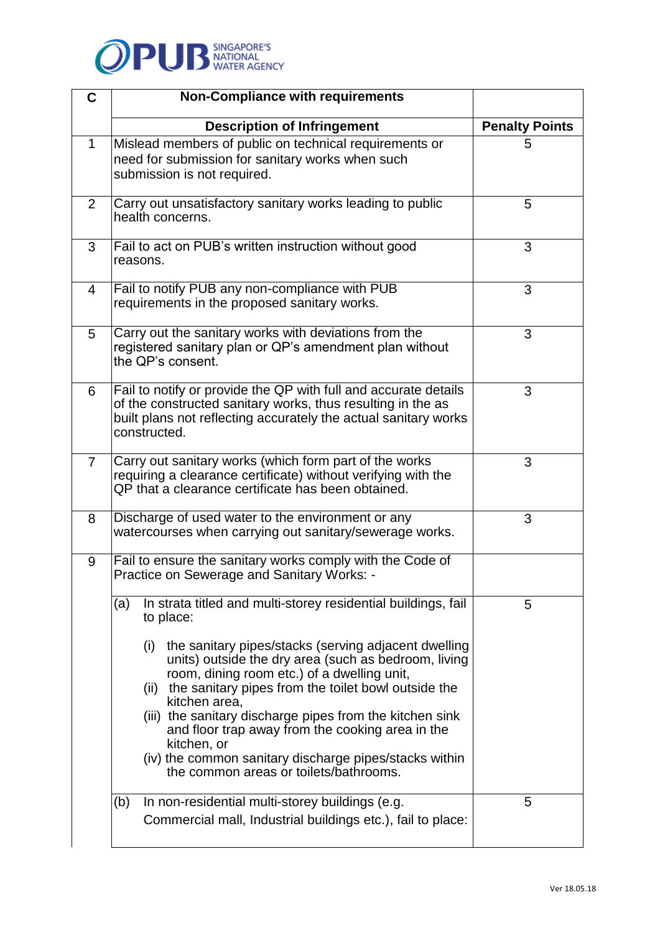

| C              | <b>Non-Compliance with requirements</b>                                                                                                                                                                                                                                                                                                                                                                                                                                                                                                                                    |                       |
|----------------|----------------------------------------------------------------------------------------------------------------------------------------------------------------------------------------------------------------------------------------------------------------------------------------------------------------------------------------------------------------------------------------------------------------------------------------------------------------------------------------------------------------------------------------------------------------------------|-----------------------|
|                | <b>Description of Infringement</b>                                                                                                                                                                                                                                                                                                                                                                                                                                                                                                                                         | <b>Penalty Points</b> |
| 1              | Mislead members of public on technical requirements or<br>need for submission for sanitary works when such<br>submission is not required.                                                                                                                                                                                                                                                                                                                                                                                                                                  | 5                     |
| 2              | Carry out unsatisfactory sanitary works leading to public<br>health concerns.                                                                                                                                                                                                                                                                                                                                                                                                                                                                                              | 5                     |
| 3              | Fail to act on PUB's written instruction without good<br>reasons.                                                                                                                                                                                                                                                                                                                                                                                                                                                                                                          | 3                     |
| 4              | Fail to notify PUB any non-compliance with PUB<br>requirements in the proposed sanitary works.                                                                                                                                                                                                                                                                                                                                                                                                                                                                             | 3                     |
| 5              | Carry out the sanitary works with deviations from the<br>registered sanitary plan or QP's amendment plan without<br>the QP's consent.                                                                                                                                                                                                                                                                                                                                                                                                                                      | 3                     |
| 6              | Fail to notify or provide the QP with full and accurate details<br>of the constructed sanitary works, thus resulting in the as<br>built plans not reflecting accurately the actual sanitary works<br>constructed.                                                                                                                                                                                                                                                                                                                                                          | 3                     |
| $\overline{7}$ | Carry out sanitary works (which form part of the works<br>requiring a clearance certificate) without verifying with the<br>QP that a clearance certificate has been obtained.                                                                                                                                                                                                                                                                                                                                                                                              | 3                     |
| 8              | Discharge of used water to the environment or any<br>watercourses when carrying out sanitary/sewerage works.                                                                                                                                                                                                                                                                                                                                                                                                                                                               | 3                     |
| 9              | Fail to ensure the sanitary works comply with the Code of<br>Practice on Sewerage and Sanitary Works: -                                                                                                                                                                                                                                                                                                                                                                                                                                                                    |                       |
|                | In strata titled and multi-storey residential buildings, fail<br>(a)<br>to place:<br>the sanitary pipes/stacks (serving adjacent dwelling<br>(i)<br>units) outside the dry area (such as bedroom, living<br>room, dining room etc.) of a dwelling unit,<br>the sanitary pipes from the toilet bowl outside the<br>(ii)<br>kitchen area,<br>(iii) the sanitary discharge pipes from the kitchen sink<br>and floor trap away from the cooking area in the<br>kitchen, or<br>(iv) the common sanitary discharge pipes/stacks within<br>the common areas or toilets/bathrooms. | 5                     |
|                | In non-residential multi-storey buildings (e.g.<br>(b)<br>Commercial mall, Industrial buildings etc.), fail to place:                                                                                                                                                                                                                                                                                                                                                                                                                                                      | 5                     |